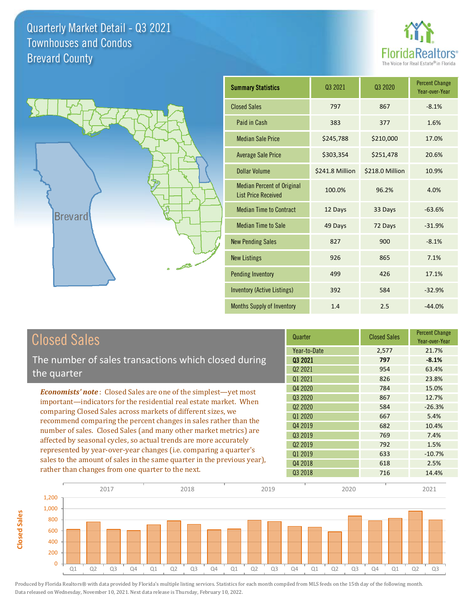**Closed Sales**

**Closed Sales** 





| <b>Summary Statistics</b>                                       | 03 2021         | 03 2020         | <b>Percent Change</b><br>Year-over-Year |
|-----------------------------------------------------------------|-----------------|-----------------|-----------------------------------------|
| <b>Closed Sales</b>                                             | 797             | 867             | $-8.1%$                                 |
| Paid in Cash                                                    | 383             | 377             | 1.6%                                    |
| <b>Median Sale Price</b>                                        | \$245,788       | \$210,000       | 17.0%                                   |
| <b>Average Sale Price</b>                                       | \$303,354       | \$251,478       | 20.6%                                   |
| <b>Dollar Volume</b>                                            | \$241.8 Million | \$218.0 Million | 10.9%                                   |
| <b>Median Percent of Original</b><br><b>List Price Received</b> | 100.0%          | 96.2%           | 4.0%                                    |
| <b>Median Time to Contract</b>                                  | 12 Days         | 33 Days         | $-63.6%$                                |
| <b>Median Time to Sale</b>                                      | 49 Days         | 72 Days         | $-31.9%$                                |
| <b>New Pending Sales</b>                                        | 827             | 900             | $-8.1%$                                 |
| <b>New Listings</b>                                             | 926             | 865             | 7.1%                                    |
| <b>Pending Inventory</b>                                        | 499             | 426             | 17.1%                                   |
| <b>Inventory (Active Listings)</b>                              | 392             | 584             | $-32.9%$                                |
| Months Supply of Inventory                                      | 1.4             | 2.5             | $-44.0%$                                |

| <b>Closed Sales</b>                                                                                                                                                                                                                                                        | Quarter             | <b>Closed Sales</b> | <b>Percent Change</b><br>Year-over-Year |
|----------------------------------------------------------------------------------------------------------------------------------------------------------------------------------------------------------------------------------------------------------------------------|---------------------|---------------------|-----------------------------------------|
|                                                                                                                                                                                                                                                                            | Year-to-Date        | 2,577               | 21.7%                                   |
| The number of sales transactions which closed during                                                                                                                                                                                                                       | 03 2021             | 797                 | $-8.1%$                                 |
| the quarter                                                                                                                                                                                                                                                                | Q <sub>2</sub> 2021 | 954                 | 63.4%                                   |
|                                                                                                                                                                                                                                                                            | Q1 2021             | 826                 | 23.8%                                   |
| <b>Economists' note:</b> Closed Sales are one of the simplest—yet most                                                                                                                                                                                                     | Q4 2020             | 784                 | 15.0%                                   |
| important—indicators for the residential real estate market. When<br>comparing Closed Sales across markets of different sizes, we<br>recommend comparing the percent changes in sales rather than the<br>number of sales. Closed Sales (and many other market metrics) are | Q3 2020             | 867                 | 12.7%                                   |
|                                                                                                                                                                                                                                                                            | Q <sub>2</sub> 2020 | 584                 | $-26.3%$                                |
|                                                                                                                                                                                                                                                                            | Q1 2020             | 667                 | 5.4%                                    |
|                                                                                                                                                                                                                                                                            | Q4 2019             | 682                 | 10.4%                                   |
|                                                                                                                                                                                                                                                                            | Q3 2019             | 769                 | 7.4%                                    |
| affected by seasonal cycles, so actual trends are more accurately<br>represented by year-over-year changes (i.e. comparing a quarter's                                                                                                                                     | Q <sub>2</sub> 2019 | 792                 | 1.5%                                    |
|                                                                                                                                                                                                                                                                            | Q1 2019             | 633                 | $-10.7%$                                |
| sales to the amount of sales in the same quarter in the previous year),                                                                                                                                                                                                    | Q4 2018             | 618                 | 2.5%                                    |
| rather than changes from one quarter to the next.                                                                                                                                                                                                                          | Q3 2018             | 716                 | 14.4%                                   |

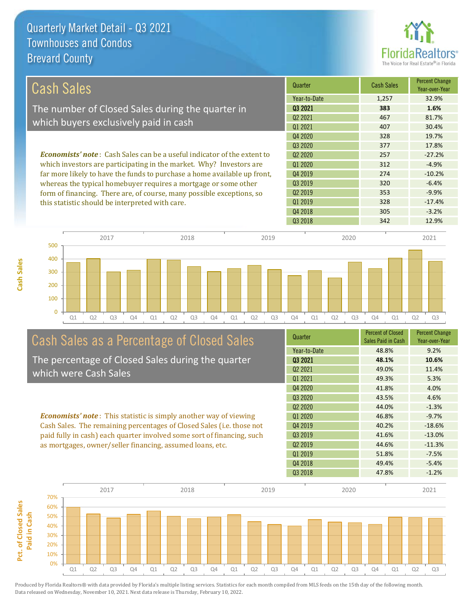

| Cash Sales                                                                     | Quarter             | <b>Cash Sales</b> | <b>Percent Change</b><br>Year-over-Year |
|--------------------------------------------------------------------------------|---------------------|-------------------|-----------------------------------------|
|                                                                                | Year-to-Date        | 1.257             | 32.9%                                   |
| The number of Closed Sales during the quarter in                               | 03 2021             | 383               | 1.6%                                    |
|                                                                                | Q <sub>2</sub> 2021 | 467               | 81.7%                                   |
| which buyers exclusively paid in cash                                          | 01 2021             | 407               | 30.4%                                   |
|                                                                                | Q4 2020             | 328               | 19.7%                                   |
|                                                                                | 03 20 20            | 377               | 17.8%                                   |
| <b>Economists' note:</b> Cash Sales can be a useful indicator of the extent to | Q <sub>2</sub> 2020 | 257               | $-27.2%$                                |
| which investors are participating in the market. Why? Investors are            | 01 2020             | 312               | $-4.9%$                                 |
| far more likely to have the funds to purchase a home available up front,       | Q4 2019             | 274               | $-10.2%$                                |
| whereas the typical homebuyer requires a mortgage or some other                | Q3 2019             | 320               | $-6.4%$                                 |
| form of financing. There are, of course, many possible exceptions, so          | Q <sub>2</sub> 2019 | 353               | $-9.9%$                                 |
| this statistic should be interpreted with care.                                | Q1 2019             | 328               | $-17.4%$                                |
|                                                                                | 0.10010             |                   |                                         |



# Cash Sales as a Percentage of Closed Sales

The percentage of Closed Sales during the quarter which were Cash Sales

*Economists' note* : This statistic is simply another way of viewing Cash Sales. The remaining percentages of Closed Sales (i.e. those not paid fully in cash) each quarter involved some sort of financing, such as mortgages, owner/seller financing, assumed loans, etc.



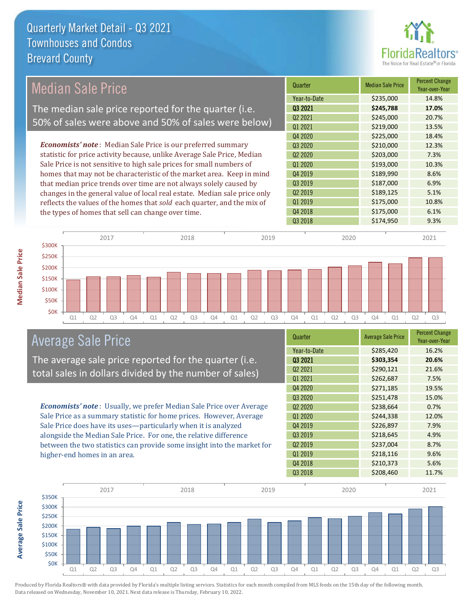

| <b>Median Sale Price</b> |                                                                           | Quarter |                                 | <b>Median Sale Price</b> | Percent Change<br>Year-over-Year |       |
|--------------------------|---------------------------------------------------------------------------|---------|---------------------------------|--------------------------|----------------------------------|-------|
|                          |                                                                           |         | Year-to-Date                    |                          | \$235,000                        | 14.8% |
|                          | The median sale price reported for the quarter (i.e.                      |         | Q3 2021                         |                          | \$245,788                        | 17.0% |
|                          | 50% of sales were above and 50% of sales were below)                      |         | Q <sub>2</sub> 2021             |                          | \$245,000                        | 20.7% |
|                          |                                                                           |         | 01 2021                         |                          | \$219,000                        | 13.5% |
|                          |                                                                           |         | Q4 2020                         |                          | \$225,000                        | 18.4% |
|                          | <b>Economists' note</b> : Median Sale Price is our preferred summary      |         | Q3 2020                         |                          | \$210,000                        | 12.3% |
|                          | statistic for price activity because, unlike Average Sale Price, Median   |         | Q <sub>2</sub> 20 <sub>20</sub> |                          | \$203,000                        | 7.3%  |
|                          | Sale Price is not sensitive to high sale prices for small numbers of      |         | Q1 2020                         |                          | \$193,000                        | 10.3% |
|                          | homes that may not be characteristic of the market area. Keep in mind     |         | Q4 2019                         |                          | \$189,990                        | 8.6%  |
|                          | that median price trends over time are not always solely caused by        |         | Q3 2019                         |                          | \$187,000                        | 6.9%  |
|                          | changes in the general value of local real estate. Median sale price only |         | Q2 2019                         |                          | \$189,125                        | 5.1%  |
|                          | reflects the values of the homes that sold each quarter, and the mix of   |         | Q1 2019                         |                          | \$175,000                        | 10.8% |
|                          | the types of homes that sell can change over time.                        |         | Q4 2018                         |                          | \$175,000                        | 6.1%  |
|                          |                                                                           |         | Q3 2018                         |                          | \$174,950                        | 9.3%  |
|                          |                                                                           |         |                                 |                          |                                  |       |
| 2017<br>\$300K           | 2018                                                                      | 2019    |                                 | 2020                     |                                  | 2021  |
|                          |                                                                           |         |                                 |                          |                                  |       |
| \$250K                   |                                                                           |         |                                 |                          |                                  |       |
| \$200K                   |                                                                           |         |                                 |                          |                                  |       |

Q1 Q2 Q3 Q4 Q1 Q2 Q3 Q4 Q1 Q2 Q3 Q4 Q1 Q2 Q3 Q4 Q1 Q2 Q3

\$0K \$50K \$100K \$150K

The average sale price reported for the quarter (i.e. total sales in dollars divided by the number of sales)

*Economists' note* : Usually, we prefer Median Sale Price over Average Sale Price as a summary statistic for home prices. However, Average Sale Price does have its uses—particularly when it is analyzed alongside the Median Sale Price. For one, the relative difference between the two statistics can provide some insight into the market for higher-end homes in an area.

| Quarter                         | <b>Average Sale Price</b> | <b>Percent Change</b><br>Year-over-Year |
|---------------------------------|---------------------------|-----------------------------------------|
| Year-to-Date                    | \$285,420                 | 16.2%                                   |
| 03 2021                         | \$303,354                 | 20.6%                                   |
| Q2 2021                         | \$290,121                 | 21.6%                                   |
| Q1 2021                         | \$262,687                 | 7.5%                                    |
| Q4 2020                         | \$271,185                 | 19.5%                                   |
| Q3 2020                         | \$251,478                 | 15.0%                                   |
| Q <sub>2</sub> 20 <sub>20</sub> | \$238,664                 | 0.7%                                    |
| Q1 2020                         | \$244,338                 | 12.0%                                   |
| Q4 2019                         | \$226,897                 | 7.9%                                    |
| Q3 2019                         | \$218,645                 | 4.9%                                    |
| Q <sub>2</sub> 2019             | \$237,004                 | 8.7%                                    |
| Q1 2019                         | \$218,116                 | 9.6%                                    |
| Q4 2018                         | \$210,373                 | 5.6%                                    |
| Q3 2018                         | \$208,460                 | 11.7%                                   |



Produced by Florida Realtors® with data provided by Florida's multiple listing services. Statistics for each month compiled from MLS feeds on the 15th day of the following month. Data released on Wednesday, November 10, 2021. Next data release is Thursday, February 10, 2022.

**Average Sale Price**

**Average Sale Price**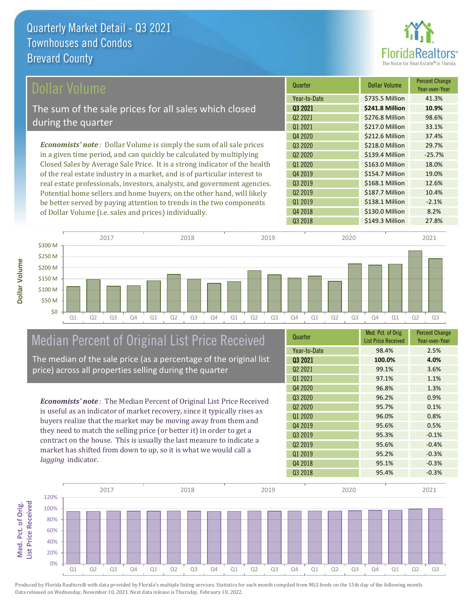

\$138.1 Million -2.1%

Q4 2018 **\$130.0 Million 8.2%** 

Q1 2019

Q3 2018 **\$149.3 Million** 27.8%

| Dollar Volume                                                                | Quarter             | <b>Dollar Volume</b> | <b>Percent Change</b><br>Year-over-Year |
|------------------------------------------------------------------------------|---------------------|----------------------|-----------------------------------------|
|                                                                              | Year-to-Date        | \$735.5 Million      | 41.3%                                   |
| The sum of the sale prices for all sales which closed                        | 03 2021             | \$241.8 Million      | 10.9%                                   |
| during the quarter                                                           | Q <sub>2</sub> 2021 | \$276.8 Million      | 98.6%                                   |
|                                                                              | 01 2021             | \$217.0 Million      | 33.1%                                   |
|                                                                              | Q4 2020             | \$212.6 Million      | 37.4%                                   |
| <b>Economists' note</b> : Dollar Volume is simply the sum of all sale prices | Q3 2020             | \$218.0 Million      | 29.7%                                   |
| in a given time period, and can quickly be calculated by multiplying         | 02 2020             | \$139.4 Million      | $-25.7%$                                |
| Closed Sales by Average Sale Price. It is a strong indicator of the health   | Q1 2020             | \$163.0 Million      | 18.0%                                   |
| of the real estate industry in a market, and is of particular interest to    | Q4 2019             | \$154.7 Million      | 19.0%                                   |
| real estate professionals, investors, analysts, and government agencies.     | Q3 2019             | \$168.1 Million      | 12.6%                                   |
| Potential home sellers and home buyers, on the other hand, will likely       | Q <sub>2</sub> 2019 | \$187.7 Million      | 10.4%                                   |



## Median Percent of Original List Price Received

be better served by paying attention to trends in the two components

of Dollar Volume (i.e. sales and prices) individually.

The median of the sale price (as a percentage of the original list price) across all properties selling during the quarter

*Economists' note* : The Median Percent of Original List Price Received is useful as an indicator of market recovery, since it typically rises as buyers realize that the market may be moving away from them and they need to match the selling price (or better it) in order to get a contract on the house. This is usually the last measure to indicate a market has shifted from down to up, so it is what we would call a *lagging* indicator.

| Quarter                         | Med. Pct. of Orig.<br><b>List Price Received</b> | <b>Percent Change</b><br>Year-over-Year |
|---------------------------------|--------------------------------------------------|-----------------------------------------|
| Year-to-Date                    | 98.4%                                            | 2.5%                                    |
| 03 2021                         | 100.0%                                           | 4.0%                                    |
| Q <sub>2</sub> 2021             | 99.1%                                            | 3.6%                                    |
| 01 2021                         | 97.1%                                            | 1.1%                                    |
| Q4 2020                         | 96.8%                                            | 1.3%                                    |
| Q3 2020                         | 96.2%                                            | 0.9%                                    |
| Q <sub>2</sub> 20 <sub>20</sub> | 95.7%                                            | 0.1%                                    |
| Q1 2020                         | 96.0%                                            | 0.8%                                    |
| Q4 2019                         | 95.6%                                            | 0.5%                                    |
| Q3 2019                         | 95.3%                                            | $-0.1%$                                 |
| Q <sub>2</sub> 2019             | 95.6%                                            | $-0.4%$                                 |
| Q1 2019                         | 95.2%                                            | $-0.3%$                                 |
| Q4 2018                         | 95.1%                                            | $-0.3%$                                 |
| Q3 2018                         | 95.4%                                            | $-0.3%$                                 |

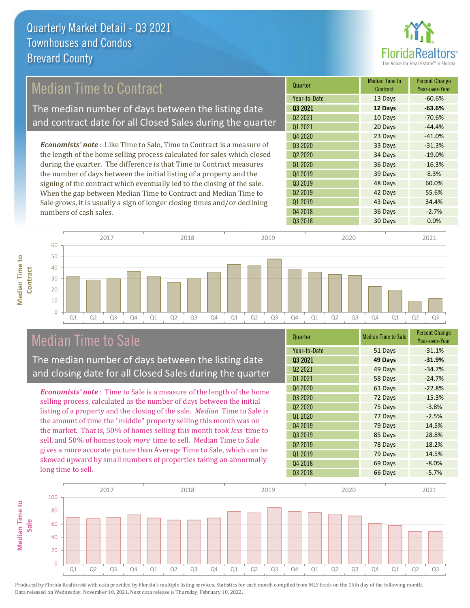

## Median Time to Contract

The median number of days between the listing date and contract date for all Closed Sales during the quarter

*Economists' note* : Like Time to Sale, Time to Contract is a measure of the length of the home selling process calculated for sales which closed during the quarter. The difference is that Time to Contract measures the number of days between the initial listing of a property and the signing of the contract which eventually led to the closing of the sale. When the gap between Median Time to Contract and Median Time to Sale grows, it is usually a sign of longer closing times and/or declining numbers of cash sales.





### Median Time to Sale

**Median Time to** 

**Median Time to** 

The median number of days between the listing date and closing date for all Closed Sales during the quarter

*Economists' note* : Time to Sale is a measure of the length of the home selling process, calculated as the number of days between the initial listing of a property and the closing of the sale. *Median* Time to Sale is the amount of time the "middle" property selling this month was on the market. That is, 50% of homes selling this month took *less* time to sell, and 50% of homes took *more* time to sell. Median Time to Sale gives a more accurate picture than Average Time to Sale, which can be skewed upward by small numbers of properties taking an abnormally long time to sell.

| Year-to-Date<br>$-31.1%$<br>51 Days<br>03 2021<br>49 Days<br>$-31.9%$<br>Q <sub>2</sub> 2021<br>49 Days<br>$-34.7%$<br>Q1 2021<br>58 Days<br>$-24.7%$<br>Q4 2020<br>61 Days<br>$-22.8%$<br>Q3 2020<br>72 Days<br>$-15.3%$<br>Q <sub>2</sub> 2020<br>75 Days<br>$-3.8%$<br>Q1 2020<br>77 Days<br>$-2.5%$<br>Q4 2019<br>79 Days<br>14.5%<br>Q3 2019<br>28.8%<br>85 Days<br>Q <sub>2</sub> 2019<br>18.2%<br>78 Days<br>Q1 2019<br>79 Days<br>14.5%<br>Q4 2018<br>69 Days<br>$-8.0%$<br>Q3 2018<br>66 Days<br>$-5.7%$ | Quarter | <b>Median Time to Sale</b> | <b>Percent Change</b><br>Year-over-Year |
|-------------------------------------------------------------------------------------------------------------------------------------------------------------------------------------------------------------------------------------------------------------------------------------------------------------------------------------------------------------------------------------------------------------------------------------------------------------------------------------------------------------------|---------|----------------------------|-----------------------------------------|
|                                                                                                                                                                                                                                                                                                                                                                                                                                                                                                                   |         |                            |                                         |
|                                                                                                                                                                                                                                                                                                                                                                                                                                                                                                                   |         |                            |                                         |
|                                                                                                                                                                                                                                                                                                                                                                                                                                                                                                                   |         |                            |                                         |
|                                                                                                                                                                                                                                                                                                                                                                                                                                                                                                                   |         |                            |                                         |
|                                                                                                                                                                                                                                                                                                                                                                                                                                                                                                                   |         |                            |                                         |
|                                                                                                                                                                                                                                                                                                                                                                                                                                                                                                                   |         |                            |                                         |
|                                                                                                                                                                                                                                                                                                                                                                                                                                                                                                                   |         |                            |                                         |
|                                                                                                                                                                                                                                                                                                                                                                                                                                                                                                                   |         |                            |                                         |
|                                                                                                                                                                                                                                                                                                                                                                                                                                                                                                                   |         |                            |                                         |
|                                                                                                                                                                                                                                                                                                                                                                                                                                                                                                                   |         |                            |                                         |
|                                                                                                                                                                                                                                                                                                                                                                                                                                                                                                                   |         |                            |                                         |
|                                                                                                                                                                                                                                                                                                                                                                                                                                                                                                                   |         |                            |                                         |
|                                                                                                                                                                                                                                                                                                                                                                                                                                                                                                                   |         |                            |                                         |
|                                                                                                                                                                                                                                                                                                                                                                                                                                                                                                                   |         |                            |                                         |

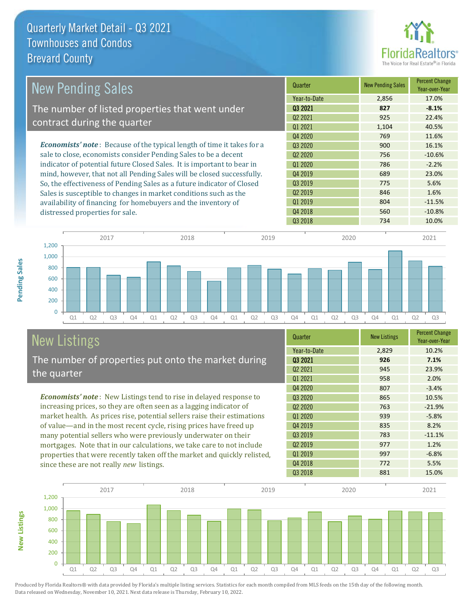

| <b>New Pending Sales</b>                                                      | Quarter             | <b>New Pending Sales</b> | <b>Percent Change</b><br>Year-over-Year |
|-------------------------------------------------------------------------------|---------------------|--------------------------|-----------------------------------------|
|                                                                               | Year-to-Date        | 2,856                    | 17.0%                                   |
| The number of listed properties that went under                               | 03 2021             | 827                      | $-8.1%$                                 |
|                                                                               | Q <sub>2</sub> 2021 | 925                      | 22.4%                                   |
| contract during the quarter                                                   | Q1 2021             | 1,104                    | 40.5%                                   |
|                                                                               | Q4 2020             | 769                      | 11.6%                                   |
| <b>Economists' note:</b> Because of the typical length of time it takes for a | 03 2020             | 900                      | 16.1%                                   |
| sale to close, economists consider Pending Sales to be a decent               | Q <sub>2</sub> 2020 | 756                      | $-10.6%$                                |
| indicator of potential future Closed Sales. It is important to bear in        | Q1 2020             | 786                      | $-2.2%$                                 |
| mind, however, that not all Pending Sales will be closed successfully.        | Q4 2019             | 689                      | 23.0%                                   |
| So, the effectiveness of Pending Sales as a future indicator of Closed        | Q3 2019             | 775                      | 5.6%                                    |
| Sales is susceptible to changes in market conditions such as the              | Q <sub>2</sub> 2019 | 846                      | 1.6%                                    |
| availability of financing for homebuyers and the inventory of                 | Q1 2019             | 804                      | $-11.5%$                                |
| distressed properties for sale.                                               | Q4 2018             | 560                      | $-10.8%$                                |



# New Listings

**New Listings**

**Pending Sales**

**Pending Sales** 

The number of properties put onto the market during the quarter

*Economists' note* : New Listings tend to rise in delayed response to increasing prices, so they are often seen as a lagging indicator of market health. As prices rise, potential sellers raise their estimations of value—and in the most recent cycle, rising prices have freed up many potential sellers who were previously underwater on their mortgages. Note that in our calculations, we take care to not include properties that were recently taken off the market and quickly relisted, since these are not really *new* listings.

| Quarter                         | <b>New Listings</b> | <b>Percent Change</b><br>Year-over-Year |
|---------------------------------|---------------------|-----------------------------------------|
| Year-to-Date                    | 2,829               | 10.2%                                   |
| 03 2021                         | 926                 | 7.1%                                    |
| 02 2021                         | 945                 | 23.9%                                   |
| Q1 2021                         | 958                 | 2.0%                                    |
| Q4 2020                         | 807                 | $-3.4%$                                 |
| Q3 2020                         | 865                 | 10.5%                                   |
| Q <sub>2</sub> 20 <sub>20</sub> | 763                 | $-21.9%$                                |
| Q1 2020                         | 939                 | $-5.8%$                                 |
| Q4 2019                         | 835                 | 8.2%                                    |
| Q3 2019                         | 783                 | $-11.1%$                                |
| Q <sub>2</sub> 2019             | 977                 | 1.2%                                    |
| Q1 2019                         | 997                 | $-6.8%$                                 |
| Q4 2018                         | 772                 | 5.5%                                    |
| Q3 2018                         | 881                 | 15.0%                                   |

Q3 2018 734 10.0%

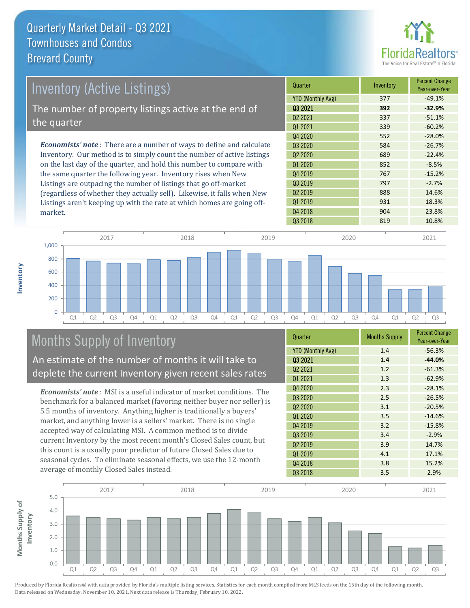

| Inventory (Active Listings)                                                  | Quarter             | Inventory | <b>Percent Change</b><br>Year-over-Year |
|------------------------------------------------------------------------------|---------------------|-----------|-----------------------------------------|
|                                                                              | YTD (Monthly Avg)   | 377       | $-49.1%$                                |
| The number of property listings active at the end of                         | 03 2021             | 392       | $-32.9%$                                |
|                                                                              | Q <sub>2</sub> 2021 | 337       | $-51.1%$                                |
| the quarter                                                                  | Q1 2021             | 339       | $-60.2%$                                |
|                                                                              | Q4 2020             | 552       | $-28.0%$                                |
| <b>Economists' note</b> : There are a number of ways to define and calculate | Q3 2020             | 584       | $-26.7%$                                |
| Inventory. Our method is to simply count the number of active listings       | 02 2020             | 689       | $-22.4%$                                |
| on the last day of the quarter, and hold this number to compare with         | Q1 2020             | 852       | $-8.5%$                                 |
| the same quarter the following year. Inventory rises when New                | Q4 2019             | 767       | $-15.2%$                                |
| Listings are outpacing the number of listings that go off-market             | Q3 2019             | 797       | $-2.7%$                                 |
| (regardless of whether they actually sell) Likewise it falls when New        | Q <sub>2</sub> 2019 | 888       | 14.6%                                   |

Q2 2019 Q3 2018 819 10.8% Q1 2019 **931** 931 18.3% Q4 2018 23.8% (regardless of whether they actually sell). Likewise, it falls when New Listings aren't keeping up with the rate at which homes are going offmarket.



# Months Supply of Inventory

An estimate of the number of months it will take to deplete the current Inventory given recent sales rates

*Economists' note* : MSI is a useful indicator of market conditions. The benchmark for a balanced market (favoring neither buyer nor seller) is 5.5 months of inventory. Anything higher is traditionally a buyers' market, and anything lower is a sellers' market. There is no single accepted way of calculating MSI. A common method is to divide current Inventory by the most recent month's Closed Sales count, but this count is a usually poor predictor of future Closed Sales due to seasonal cycles. To eliminate seasonal effects, we use the 12-month average of monthly Closed Sales instead.

| Quarter                  | <b>Months Supply</b> | <b>Percent Change</b><br>Year-over-Year |
|--------------------------|----------------------|-----------------------------------------|
| <b>YTD (Monthly Avg)</b> | 1.4                  | $-56.3%$                                |
| 03 2021                  | 1.4                  | $-44.0%$                                |
| Q <sub>2</sub> 2021      | 1.2                  | $-61.3%$                                |
| Q1 2021                  | 1.3                  | $-62.9%$                                |
| Q4 2020                  | 2.3                  | $-28.1%$                                |
| Q3 2020                  | 2.5                  | $-26.5%$                                |
| Q <sub>2</sub> 2020      | 3.1                  | $-20.5%$                                |
| Q1 2020                  | 3.5                  | $-14.6%$                                |
| Q4 2019                  | 3.2                  | $-15.8%$                                |
| Q3 2019                  | 3.4                  | $-2.9%$                                 |
| Q <sub>2</sub> 2019      | 3.9                  | 14.7%                                   |
| Q1 2019                  | 4.1                  | 17.1%                                   |
| Q4 2018                  | 3.8                  | 15.2%                                   |
| Q3 2018                  | 3.5                  | 2.9%                                    |

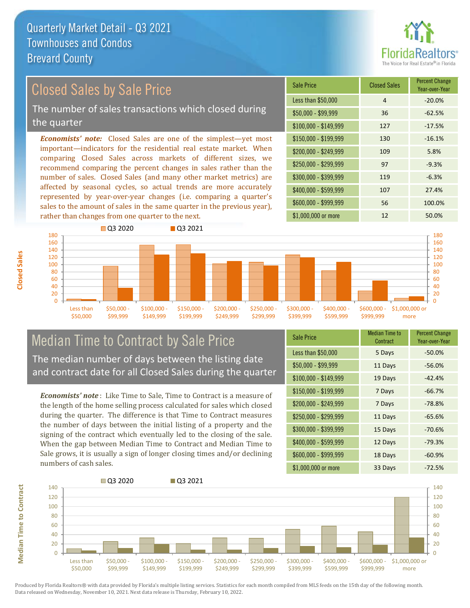

### Closed Sales by Sale Price

The number of sales transactions which closed during the quarter

*Economists' note:* Closed Sales are one of the simplest—yet most important—indicators for the residential real estate market. When comparing Closed Sales across markets of different sizes, we recommend comparing the percent changes in sales rather than the number of sales. Closed Sales (and many other market metrics) are affected by seasonal cycles, so actual trends are more accurately represented by year-over-year changes (i.e. comparing a quarter's sales to the amount of sales in the same quarter in the previous year), rather than changes from one quarter to the next.

| <b>Sale Price</b>     | <b>Closed Sales</b> | <b>Percent Change</b><br>Year-over-Year |
|-----------------------|---------------------|-----------------------------------------|
| Less than \$50,000    | $\overline{4}$      | $-20.0%$                                |
| $$50,000 - $99,999$   | 36                  | $-62.5%$                                |
| $$100,000 - $149,999$ | 127                 | $-17.5%$                                |
| $$150,000 - $199,999$ | 130                 | $-16.1%$                                |
| \$200,000 - \$249,999 | 109                 | 5.8%                                    |
| \$250,000 - \$299,999 | 97                  | $-9.3%$                                 |
| \$300,000 - \$399,999 | 119                 | $-6.3%$                                 |
| \$400,000 - \$599,999 | 107                 | 27.4%                                   |
| \$600,000 - \$999,999 | 56                  | 100.0%                                  |
| \$1,000,000 or more   | 12                  | 50.0%                                   |



## Median Time to Contract by Sale Price The median number of days between the listing date

and contract date for all Closed Sales during the quarter

*Economists' note* : Like Time to Sale, Time to Contract is a measure of the length of the home selling process calculated for sales which closed during the quarter. The difference is that Time to Contract measures the number of days between the initial listing of a property and the signing of the contract which eventually led to the closing of the sale. When the gap between Median Time to Contract and Median Time to Sale grows, it is usually a sign of longer closing times and/or declining numbers of cash sales.

| <b>Sale Price</b>     | <b>Median Time to</b><br>Contract | <b>Percent Change</b><br>Year-over-Year |
|-----------------------|-----------------------------------|-----------------------------------------|
| Less than \$50,000    | 5 Days                            | $-50.0%$                                |
| $$50,000 - $99,999$   | 11 Days                           | $-56.0%$                                |
| $$100,000 - $149,999$ | 19 Days                           | $-42.4%$                                |
| $$150,000 - $199,999$ | 7 Days                            | $-66.7%$                                |
| \$200,000 - \$249,999 | 7 Days                            | $-78.8%$                                |
| \$250,000 - \$299,999 | 11 Days                           | $-65.6%$                                |
| \$300,000 - \$399,999 | 15 Days                           | $-70.6%$                                |
| \$400,000 - \$599,999 | 12 Days                           | $-79.3%$                                |
| \$600,000 - \$999,999 | 18 Days                           | $-60.9%$                                |
| \$1,000,000 or more   | 33 Days                           | $-72.5%$                                |



Produced by Florida Realtors® with data provided by Florida's multiple listing services. Statistics for each month compiled from MLS feeds on the 15th day of the following month. Data released on Wednesday, November 10, 2021. Next data release is Thursday, February 10, 2022.

**Median Time to Contract**

**Median Time to Contract**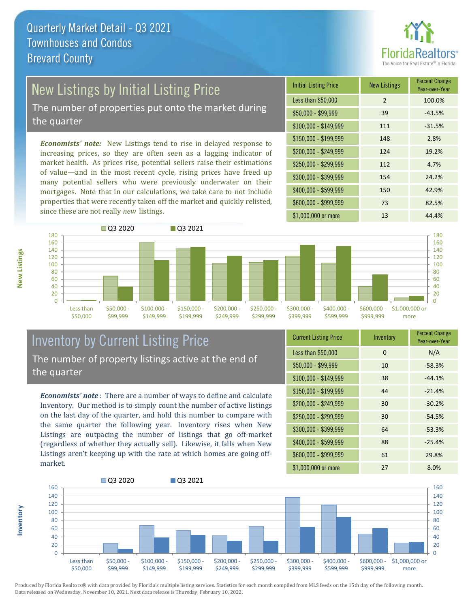

# New Listings by Initial Listing Price

The number of properties put onto the market during the quarter

*Economists' note:* New Listings tend to rise in delayed response to increasing prices, so they are often seen as a lagging indicator of market health. As prices rise, potential sellers raise their estimations of value—and in the most recent cycle, rising prices have freed up many potential sellers who were previously underwater on their mortgages. Note that in our calculations, we take care to not include properties that were recently taken off the market and quickly relisted, since these are not really *new* listings.

| <b>Initial Listing Price</b> | <b>New Listings</b> | <b>Percent Change</b><br>Year-over-Year |
|------------------------------|---------------------|-----------------------------------------|
| Less than \$50,000           | 2                   | 100.0%                                  |
| \$50,000 - \$99,999          | 39                  | $-43.5%$                                |
| $$100,000 - $149,999$        | 111                 | $-31.5%$                                |
| $$150,000 - $199,999$        | 148                 | 2.8%                                    |
| \$200,000 - \$249,999        | 124                 | 19.2%                                   |
| \$250,000 - \$299,999        | 112                 | 4.7%                                    |
| \$300,000 - \$399,999        | 154                 | 24.2%                                   |
| \$400,000 - \$599,999        | 150                 | 42.9%                                   |
| \$600,000 - \$999,999        | 73                  | 82.5%                                   |
| \$1,000,000 or more          | 13                  | 44.4%                                   |



### Inventory by Current Listing Price The number of property listings active at the end of the quarter

*Economists' note* : There are a number of ways to define and calculate Inventory. Our method is to simply count the number of active listings on the last day of the quarter, and hold this number to compare with the same quarter the following year. Inventory rises when New Listings are outpacing the number of listings that go off-market (regardless of whether they actually sell). Likewise, it falls when New Listings aren't keeping up with the rate at which homes are going offmarket.

| <b>Current Listing Price</b> | Inventory | <b>Percent Change</b><br>Year-over-Year |
|------------------------------|-----------|-----------------------------------------|
| Less than \$50,000           | 0         | N/A                                     |
| $$50,000 - $99,999$          | 10        | $-58.3%$                                |
| $$100,000 - $149,999$        | 38        | $-44.1%$                                |
| \$150,000 - \$199,999        | 44        | $-21.4%$                                |
| \$200,000 - \$249,999        | 30        | $-30.2%$                                |
| \$250,000 - \$299,999        | 30        | $-54.5%$                                |
| \$300,000 - \$399,999        | 64        | $-53.3%$                                |
| \$400,000 - \$599,999        | 88        | $-25.4%$                                |
| \$600,000 - \$999,999        | 61        | 29.8%                                   |
| \$1,000,000 or more          | 27        | 8.0%                                    |



Produced by Florida Realtors® with data provided by Florida's multiple listing services. Statistics for each month compiled from MLS feeds on the 15th day of the following month. Data released on Wednesday, November 10, 2021. Next data release is Thursday, February 10, 2022.

**Inventory**